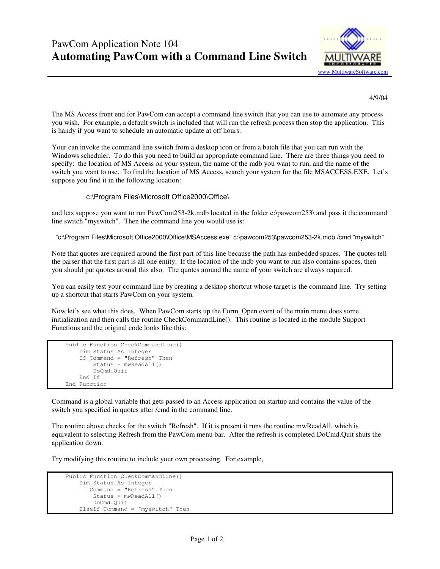

4/9/04

The MS Access front end for PawCom can accept a command line switch that you can use to automate any process you wish. For example, a default switch is included that will run the refresh process then stop the application. This is handy if you want to schedule an automatic update at off hours.

Your can invoke the command line switch from a desktop icon or from a batch file that you can run with the Windows scheduler. To do this you need to build an appropriate command line. There are three things you need to specify: the location of MS Access on your system, the name of the mdb you want to run, and the name of the switch you want to use. To find the location of MS Access, search your system for the file MSACCESS.EXE. Let's suppose you find it in the following location:

## c:\Program Files\Microsoft Office2000\Office\

and lets suppose you want to run PawCom253-2k.mdb located in the folder c:\pawcom253\ and pass it the command line switch "myswitch". Then the command line you would use is:

"c:\Program Files\Microsoft Office2000\Office\MSAccess.exe" c:\pawcom253\pawcom253-2k.mdb /cmd "myswitch"

Note that quotes are required around the first part of this line because the path has embedded spaces. The quotes tell the parser that the first part is all one entity. If the location of the mdb you want to run also contains spaces, then you should put quotes around this also. The quotes around the name of your switch are always required.

You can easily test your command line by creating a desktop shortcut whose target is the command line. Try setting up a shortcut that starts PawCom on your system.

Now let's see what this does. When PawCom starts up the Form\_Open event of the main menu does some initialization and then calls the routine CheckCommandLine(). This routine is located in the module Support Functions and the original code looks like this:

```
 Public Function CheckCommandLine() 
    Dim Status As Integer 
    If Command = "Refresh" Then 
         Status = mwReadAll() 
         DoCmd.Quit 
    End If 
End Function
```
Command is a global variable that gets passed to an Access application on startup and contains the value of the switch you specified in quotes after /cmd in the command line.

The routine above checks for the switch "Refresh". If it is present it runs the routine mwReadAll, which is equivalent to selecting Refresh from the PawCom menu bar. After the refresh is completed DoCmd.Quit shuts the application down.

Try modifying this routine to include your own processing. For example,

```
 Public Function CheckCommandLine() 
    Dim Status As Integer 
    If Command = "Refresh" Then 
        Status = mwReadAll() 
        DoCmd.Quit 
    ElseIf Command = "myswitch" Then
```